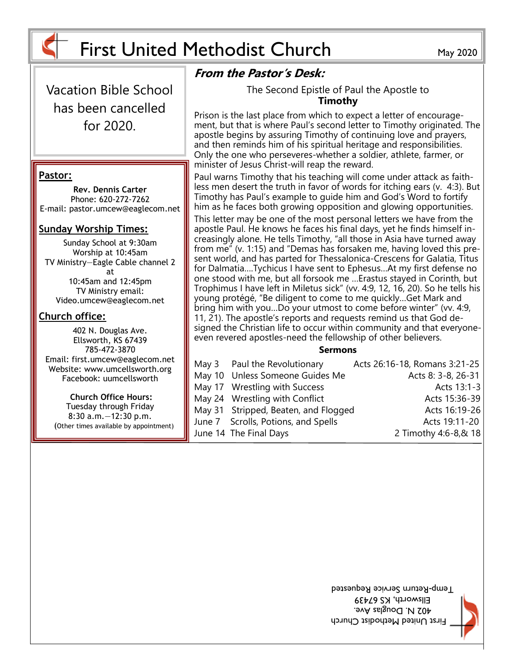

Vacation Bible School has been cancelled for 2020.

#### **Pastor:**

**Rev. Dennis Carter** Phone: 620-272-7262 E-mail: pastor.umcew@eaglecom.net

#### **Sunday Worship Times:**

Sunday School at 9:30am Worship at 10:45am TV Ministry—Eagle Cable channel 2 at 10:45am and 12:45pm TV Ministry email: Video.umcew@eaglecom.net

#### **Church office:**

402 N. Douglas Ave. Ellsworth, KS 67439 785-472-3870 Email: first.umcew@eaglecom.net Website: www.umcellsworth.org Facebook: uumcellsworth

**Church Office Hours:** Tuesday through Friday 8:30 a.m.—12:30 p.m. (Other times available by appointment)

#### **From the Pastor's Desk:**

The Second Epistle of Paul the Apostle to **Timothy**

Prison is the last place from which to expect a letter of encouragement, but that is where Paul's second letter to Timothy originated. The apostle begins by assuring Timothy of continuing love and prayers, and then reminds him of his spiritual heritage and responsibilities. Only the one who perseveres-whether a soldier, athlete, farmer, or minister of Jesus Christ-will reap the reward.

Paul warns Timothy that his teaching will come under attack as faithless men desert the truth in favor of words for itching ears (v. 4:3). But Timothy has Paul's example to guide him and God's Word to fortify him as he faces both growing opposition and glowing opportunities.

This letter may be one of the most personal letters we have from the apostle Paul. He knows he faces his final days, yet he finds himself increasingly alone. He tells Timothy, "all those in Asia have turned away from me" (v. 1:15) and "Demas has forsaken me, having loved this present world, and has parted for Thessalonica-Crescens for Galatia, Titus for Dalmatia….Tychicus I have sent to Ephesus…At my first defense no one stood with me, but all forsook me …Erastus stayed in Corinth, but Trophimus I have left in Miletus sick" (vv. 4:9, 12, 16, 20). So he tells his young protégé, "Be diligent to come to me quickly…Get Mark and bring him with you…Do your utmost to come before winter" (vv. 4:9, 11, 21). The apostle's reports and requests remind us that God designed the Christian life to occur within community and that everyoneeven revered apostles-need the fellowship of other believers.

#### **Sermons**

| May 3 Paul the Revolutionary         | Acts 26:16-18, Romans 3:21-25 |
|--------------------------------------|-------------------------------|
| May 10 Unless Someone Guides Me      | Acts 8: 3-8, 26-31            |
| May 17 Wrestling with Success        | Acts 13:1-3                   |
| May 24 Wrestling with Conflict       | Acts 15:36-39                 |
| May 31 Stripped, Beaten, and Flogged | Acts 16:19-26                 |
| June 7 Scrolls, Potions, and Spells  | Acts 19:11-20                 |
| June 14 The Final Days               | 2 Timothy 4:6-8,& 18          |

First United Methodist Church 402 N. Douglas Ave. Ellsworth, KS 67439 I emp-Return Service Requested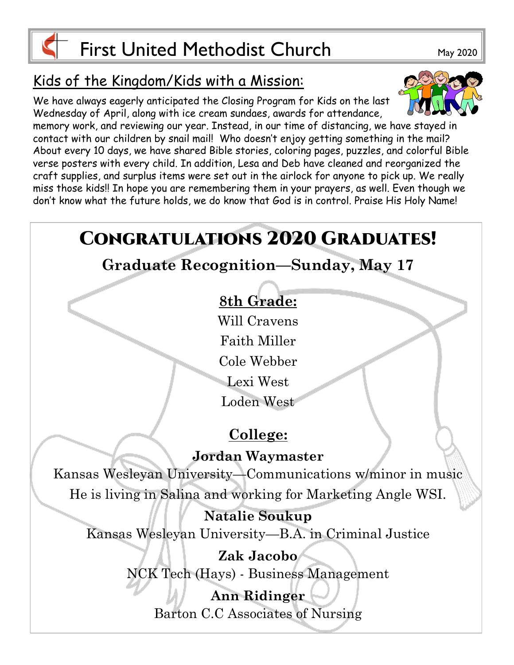

# Kids of the Kingdom/Kids with a Mission:

We have always eagerly anticipated the Closing Program for Kids on the last Wednesday of April, along with ice cream sundaes, awards for attendance,



memory work, and reviewing our year. Instead, in our time of distancing, we have stayed in contact with our children by snail mail! Who doesn't enjoy getting something in the mail? About every 10 days, we have shared Bible stories, coloring pages, puzzles, and colorful Bible verse posters with every child. In addition, Lesa and Deb have cleaned and reorganized the craft supplies, and surplus items were set out in the airlock for anyone to pick up. We really miss those kids!! In hope you are remembering them in your prayers, as well. Even though we don't know what the future holds, we do know that God is in control. Praise His Holy Name!

# **CONGRATULATIONS 2020 GRADUATES! Graduate Recognition—Sunday, May 17 8th Grade:** Will Cravens Faith Miller Cole Webber Lexi West Loden West **College: Jordan Waymaster** Kansas Wesleyan University—Communications w/minor in music He is living in Salina and working for Marketing Angle WSI. **Natalie Soukup** Kansas Wesleyan University—B.A. in Criminal Justice **Zak Jacobo** NCK Tech (Hays) - Business Management **Ann Ridinger** Barton C.C Associates of Nursing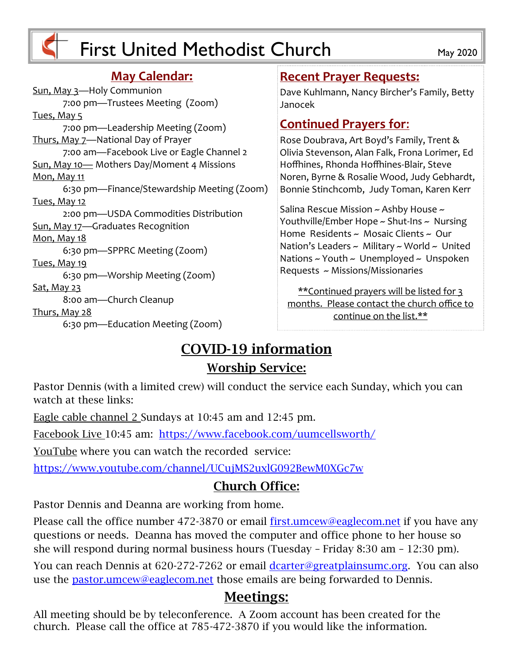

#### **May Calendar:**

Sun, May 3—Holy Communion 7:00 pm—Trustees Meeting (Zoom) Tues, May 5 7:00 pm—Leadership Meeting (Zoom) Thurs, May 7—National Day of Prayer 7:00 am—Facebook Live or Eagle Channel 2 Sun, May 10— Mothers Day/Moment 4 Missions Mon, May 11 6:30 pm—Finance/Stewardship Meeting (Zoom) Tues, May 12 2:00 pm—USDA Commodities Distribution Sun, May 17—Graduates Recognition Mon, May 18 6:30 pm—SPPRC Meeting (Zoom) Tues, May 19 6:30 pm—Worship Meeting (Zoom) <u>Sat, May 23</u> 8:00 am—Church Cleanup Thurs, May 28 6:30 pm—Education Meeting (Zoom)

#### **Recent Prayer Requests:**

Dave Kuhlmann, Nancy Bircher's Family, Betty Janocek

#### **Continued Prayers for**:

Rose Doubrava, Art Boyd's Family, Trent & Olivia Stevenson, Alan Falk, Frona Lorimer, Ed Hoffhines, Rhonda Hoffhines-Blair, Steve Noren, Byrne & Rosalie Wood, Judy Gebhardt, Bonnie Stinchcomb, Judy Toman, Karen Kerr

Salina Rescue Mission ~ Ashby House ~ Youthville/Ember Hope ~ Shut-Ins ~ Nursing Home Residents ~ Mosaic Clients ~ Our Nation's Leaders  $\sim$  Military  $\sim$  World  $\sim$  United Nations  $\sim$  Youth  $\sim$  Unemployed  $\sim$  Unspoken Requests ~ Missions/Missionaries

\*\*Continued prayers will be listed for 3 months. Please contact the church office to continue on the list.\*\*

## **COVID-19 information Worship Service:**

Pastor Dennis (with a limited crew) will conduct the service each Sunday, which you can watch at these links:

Eagle cable channel 2 Sundays at 10:45 am and 12:45 pm.

Facebook Live 10:45 am: <https://www.facebook.com/uumcellsworth/>

YouTube where you can watch the recorded service:

<https://www.youtube.com/channel/UCujMS2uxlG092BewM0XGc7w>

## **Church Office:**

Pastor Dennis and Deanna are working from home.

Please call the office number 472-3870 or email [first.umcew@eaglecom.net](mailto:first.umcew@eaglecom.net) if you have any questions or needs. Deanna has moved the computer and office phone to her house so she will respond during normal business hours (Tuesday – Friday 8:30 am – 12:30 pm).

You can reach Dennis at 620-272-7262 or email [dcarter@greatplainsumc.org.](mailto:dcarter@greatplainsumc.org) You can also use the [pastor.umcew@eaglecom.net](mailto:pastor.umcew@eaglecom.net) those emails are being forwarded to Dennis.

## **Meetings:**

All meeting should be by teleconference. A Zoom account has been created for the church. Please call the office at 785-472-3870 if you would like the information.